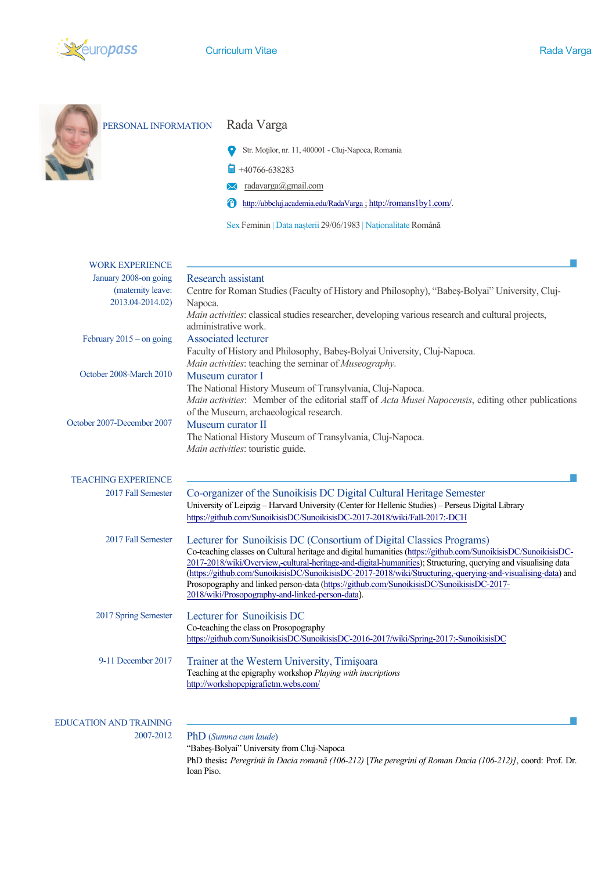

| PERSONAL INFORMATION          | Rada Varga                                                                                                                                                                                                                     |
|-------------------------------|--------------------------------------------------------------------------------------------------------------------------------------------------------------------------------------------------------------------------------|
|                               | Str. Moților, nr. 11, 400001 - Cluj-Napoca, Romania                                                                                                                                                                            |
|                               | $+40766-638283$                                                                                                                                                                                                                |
|                               | radavarga@gmail.com                                                                                                                                                                                                            |
|                               | Ô<br>http://ubbcluj.academia.edu/RadaVarga; http://romans1by1.com/.                                                                                                                                                            |
|                               | Sex Feminin   Data nașterii 29/06/1983   Naționalitate Română                                                                                                                                                                  |
| <b>WORK EXPERIENCE</b>        |                                                                                                                                                                                                                                |
| January 2008-on going         | Research assistant                                                                                                                                                                                                             |
| (maternity leave:             | Centre for Roman Studies (Faculty of History and Philosophy), "Babes-Bolyai" University, Cluj-                                                                                                                                 |
| 2013.04-2014.02)              | Napoca.<br>Main activities: classical studies researcher, developing various research and cultural projects,                                                                                                                   |
|                               | administrative work.                                                                                                                                                                                                           |
| February $2015$ – on going    | <b>Associated lecturer</b>                                                                                                                                                                                                     |
|                               | Faculty of History and Philosophy, Babeș-Bolyai University, Cluj-Napoca.<br>Main activities: teaching the seminar of Museography.                                                                                              |
| October 2008-March 2010       | Museum curator I                                                                                                                                                                                                               |
|                               | The National History Museum of Transylvania, Cluj-Napoca.                                                                                                                                                                      |
|                               | Main activities: Member of the editorial staff of Acta Musei Napocensis, editing other publications<br>of the Museum, archaeological research.                                                                                 |
| October 2007-December 2007    | Museum curator II                                                                                                                                                                                                              |
|                               | The National History Museum of Transylvania, Cluj-Napoca.                                                                                                                                                                      |
|                               | Main activities: touristic guide.                                                                                                                                                                                              |
| <b>TEACHING EXPERIENCE</b>    |                                                                                                                                                                                                                                |
| 2017 Fall Semester            | Co-organizer of the Sunoikisis DC Digital Cultural Heritage Semester                                                                                                                                                           |
|                               | University of Leipzig - Harvard University (Center for Hellenic Studies) - Perseus Digital Library                                                                                                                             |
|                               | https://github.com/SunoikisisDC/SunoikisisDC-2017-2018/wiki/Fall-2017:-DCH                                                                                                                                                     |
| 2017 Fall Semester            | Lecturer for Sunoikisis DC (Consortium of Digital Classics Programs)                                                                                                                                                           |
|                               | Co-teaching classes on Cultural heritage and digital humanities (https://github.com/SunoikisisDC/SunoikisisDC-                                                                                                                 |
|                               | 2017-2018/wiki/Overview,-cultural-heritage-and-digital-humanities); Structuring, querying and visualising data<br>(https://github.com/SunoikisisDC/SunoikisisDC-2017-2018/wiki/Structuring,-querying-and-visualising-data) and |
|                               | Prosopography and linked person-data (https://github.com/SunoikisisDC/SunoikisisDC-2017-                                                                                                                                       |
|                               | 2018/wiki/Prosopography-and-linked-person-data).                                                                                                                                                                               |
| 2017 Spring Semester          | Lecturer for Sunoikisis DC                                                                                                                                                                                                     |
|                               | Co-teaching the class on Prosopography<br>https://github.com/SunoikisisDC/SunoikisisDC-2016-2017/wiki/Spring-2017:-SunoikisisDC                                                                                                |
|                               |                                                                                                                                                                                                                                |
| 9-11 December 2017            | Trainer at the Western University, Timișoara<br>Teaching at the epigraphy workshop Playing with inscriptions                                                                                                                   |
|                               | http://workshopepigrafietm.webs.com/                                                                                                                                                                                           |
|                               |                                                                                                                                                                                                                                |
| <b>EDUCATION AND TRAINING</b> |                                                                                                                                                                                                                                |
| 2007-2012                     | PhD (Summa cum laude)                                                                                                                                                                                                          |
|                               | "Babeș-Bolyai" University from Cluj-Napoca                                                                                                                                                                                     |
|                               | PhD thesis: Peregrinii în Dacia romană (106-212) [The peregrini of Roman Dacia (106-212)], coord: Prof. Dr.<br>Ioan Piso.                                                                                                      |
|                               |                                                                                                                                                                                                                                |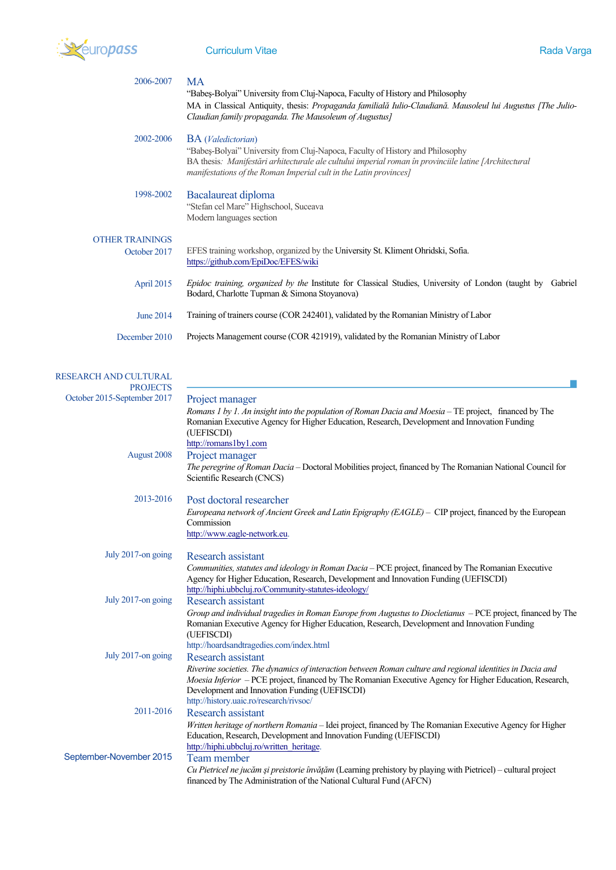

| 2006-2007                              | <b>MA</b><br>"Babes-Bolyai" University from Cluj-Napoca, Faculty of History and Philosophy<br>MA in Classical Antiquity, thesis: Propaganda familială Iulio-Claudiană. Mausoleul lui Augustus [The Julio-<br>Claudian family propaganda. The Mausoleum of Augustus]                               |
|----------------------------------------|---------------------------------------------------------------------------------------------------------------------------------------------------------------------------------------------------------------------------------------------------------------------------------------------------|
| 2002-2006                              | <b>BA</b> ( <i>Valedictorian</i> )<br>"Babes-Bolyai" University from Cluj-Napoca, Faculty of History and Philosophy<br>BA thesis: Manifestări arhitecturale ale cultului imperial roman în provinciile latine [Architectural<br>manifestations of the Roman Imperial cult in the Latin provinces] |
| 1998-2002                              | Bacalaureat diploma<br>"Stefan cel Mare" Highschool, Suceava<br>Modern languages section                                                                                                                                                                                                          |
| <b>OTHER TRAININGS</b><br>October 2017 | EFES training workshop, organized by the University St. Kliment Ohridski, Sofia.<br>https://github.com/EpiDoc/EFES/wiki                                                                                                                                                                           |
| April 2015                             | Epidoc training, organized by the Institute for Classical Studies, University of London (taught by<br>Gabriel<br>Bodard, Charlotte Tupman & Simona Stoyanova)                                                                                                                                     |
| <b>June 2014</b>                       | Training of trainers course (COR 242401), validated by the Romanian Ministry of Labor                                                                                                                                                                                                             |
| December 2010                          | Projects Management course (COR 421919), validated by the Romanian Ministry of Labor                                                                                                                                                                                                              |
| <b>ARCH AND CULTURAL</b>               |                                                                                                                                                                                                                                                                                                   |

| RESEARCH AND CULTURAL<br><b>PROJECTS</b> |                                                                                                                                                                                                                                                                                                                                          |
|------------------------------------------|------------------------------------------------------------------------------------------------------------------------------------------------------------------------------------------------------------------------------------------------------------------------------------------------------------------------------------------|
| October 2015-September 2017              | Project manager<br>Romans 1 by 1. An insight into the population of Roman Dacia and Moesia - TE project, financed by The<br>Romanian Executive Agency for Higher Education, Research, Development and Innovation Funding<br>(UEFISCDI)                                                                                                   |
| August 2008                              | http://romans1by1.com<br>Project manager<br>The peregrine of Roman Dacia – Doctoral Mobilities project, financed by The Romanian National Council for<br>Scientific Research (CNCS)                                                                                                                                                      |
| 2013-2016                                | Post doctoral researcher<br>Europeana network of Ancient Greek and Latin Epigraphy (EAGLE) - CIP project, financed by the European<br>Commission<br>http://www.eagle-network.eu.                                                                                                                                                         |
| July 2017-on going                       | Research assistant<br>Communities, statutes and ideology in Roman Dacia - PCE project, financed by The Romanian Executive<br>Agency for Higher Education, Research, Development and Innovation Funding (UEFISCDI)<br>http://hiphi.ubbcluj.ro/Community-statutes-ideology/                                                                |
| July 2017-on going                       | <b>Research assistant</b><br>Group and individual tragedies in Roman Europe from Augustus to Diocletianus – PCE project, financed by The<br>Romanian Executive Agency for Higher Education, Research, Development and Innovation Funding<br>(UEFISCDI)<br>http://hoardsandtragedies.com/index.html                                       |
| July 2017-on going                       | Research assistant<br>Riverine societies. The dynamics of interaction between Roman culture and regional identities in Dacia and<br>Moesia Inferior - PCE project, financed by The Romanian Executive Agency for Higher Education, Research,<br>Development and Innovation Funding (UEFISCDI)<br>http://history.uaic.ro/research/rivsoc/ |
| 2011-2016                                | <b>Research assistant</b><br>Written heritage of northern Romania - Idei project, financed by The Romanian Executive Agency for Higher<br>Education, Research, Development and Innovation Funding (UEFISCDI)<br>http://hiphi.ubbcluj.ro/written heritage.                                                                                |
| September-November 2015                  | Team member<br>Cu Pietricel ne jucăm și preistorie învățăm (Learning prehistory by playing with Pietricel) – cultural project<br>financed by The Administration of the National Cultural Fund (AFCN)                                                                                                                                     |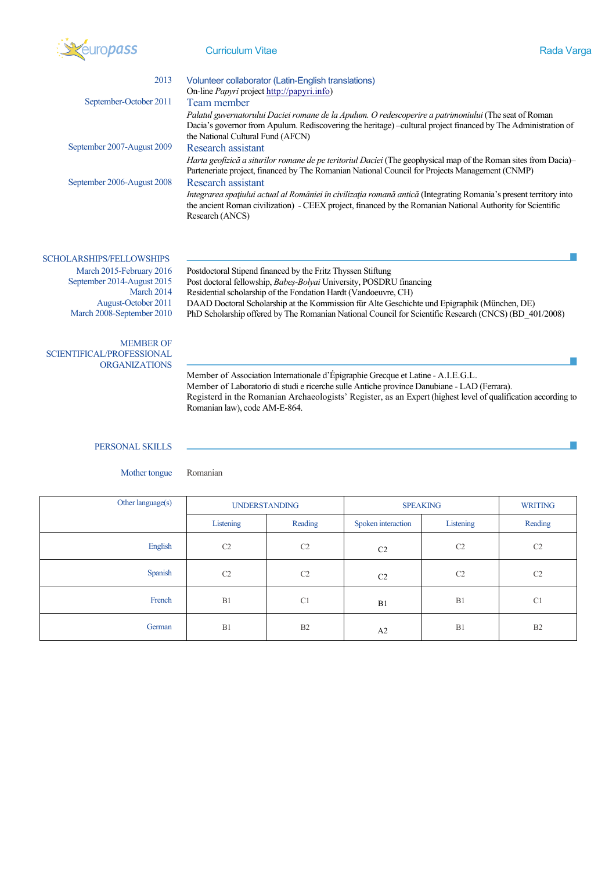

## Curriculum Vitae **Rada Varga**

| 2013                       | Volunteer collaborator (Latin-English translations)                                                                                                                                                                                                         |
|----------------------------|-------------------------------------------------------------------------------------------------------------------------------------------------------------------------------------------------------------------------------------------------------------|
|                            | On-line Papyri project http://papyri.info)                                                                                                                                                                                                                  |
| September-October 2011     | Team member                                                                                                                                                                                                                                                 |
|                            | Palatul guvernatorului Daciei romane de la Apulum. O redescoperire a patrimoniului (The seat of Roman<br>Dacia's governor from Apulum. Rediscovering the heritage) -cultural project financed by The Administration of<br>the National Cultural Fund (AFCN) |
| September 2007-August 2009 | Research assistant                                                                                                                                                                                                                                          |
|                            | <i>Harta geofizică a siturilor romane de pe teritoriul Daciei</i> (The geophysical map of the Roman sites from Dacia)–<br>Parteneriate project, financed by The Romanian National Council for Projects Management (CNMP)                                    |
| September 2006-August 2008 | <b>Research assistant</b>                                                                                                                                                                                                                                   |
|                            | Integrarea spațiului actual al României în civilizația romană antică (Integrating Romania's present territory into<br>the ancient Roman civilization) - CEEX project, financed by the Romanian National Authority for Scientific<br>Research (ANCS)         |
|                            |                                                                                                                                                                                                                                                             |

SCHOLARSHIPS/FELLOWSHIPS September 2014-August 2015 March 2014

March 2015-February 2016 Postdoctoral Stipend financed by the Fritz Thyssen Stiftung Post doctoral fellowship, *Babeș-Bolyai* University, POSDRU financing Residential scholarship of the Fondation Hardt (Vandoeuvre, CH) August-October 2011 DAAD Doctoral Scholarship at the Kommission für Alte Geschichte und Epigraphik (München, DE) PhD Scholarship offered by The Romanian National Council for Scientific Research (CNCS) (BD\_401/2008)

## MEMBER OF SCIENTIFICAL/PROFESSIONAL ORGANIZATIONS

Member of Association Internationale d'Épigraphie Grecque et Latine - A.I.E.G.L. Member of Laboratorio di studi e ricerche sulle Antiche province Danubiane - LAD (Ferrara). Registerd in the Romanian Archaeologists' Register, as an Expert (highest level of qualification according to Romanian law), code AM-E-864.

## PERSONAL SKILLS

Mother tongue Romanian

| Other language(s) | <b>UNDERSTANDING</b> |                | <b>SPEAKING</b>    |           | <b>WRITING</b> |
|-------------------|----------------------|----------------|--------------------|-----------|----------------|
|                   | Listening            | Reading        | Spoken interaction | Listening | Reading        |
| English           | C2                   | C2             | C <sub>2</sub>     | C2        | C <sub>2</sub> |
| Spanish           | C2                   | C <sub>2</sub> | C <sub>2</sub>     | C2        | C <sub>2</sub> |
| French            | B1                   | C1             | B1                 | B1        | C1             |
| German            | B1                   | B2             | A2                 | B1        | B2             |